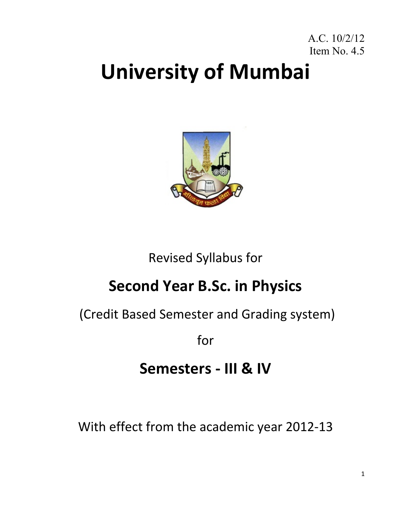### A.C. 10/2/12 Item No. 4.5

# **University of Mumbai**



## Revised Syllabus for

## **Second Year B.Sc. in Physics**

(Credit Based Semester and Grading system)

for

## **Semesters ‐ III & IV**

With effect from the academic year 2012‐13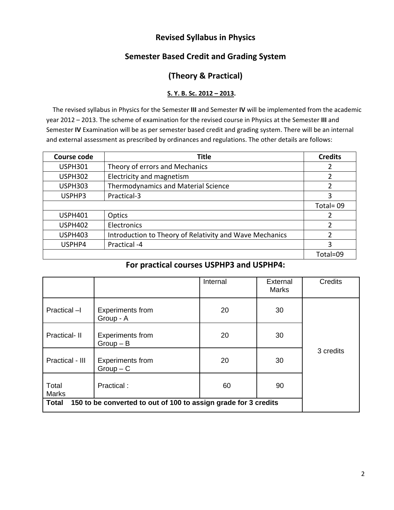### **Revised Syllabus in Physics**

### **Semester Based Credit and Grading System**

### **(Theory & Practical)**

#### **S. Y. B. Sc. 2012 – 2013.**

 The revised syllabus in Physics for the Semester **III** and Semester **IV** will be implemented from the academic year 2012 – 2013. The scheme of examination for the revised course in Physics at the Semester **III** and Semester **IV** Examination will be as per semester based credit and grading system. There will be an internal and external assessment as prescribed by ordinances and regulations. The other details are follows:

| <b>Course code</b> | <b>Title</b>                                            | <b>Credits</b> |
|--------------------|---------------------------------------------------------|----------------|
| <b>USPH301</b>     | Theory of errors and Mechanics                          |                |
| <b>USPH302</b>     | Electricity and magnetism                               | 2              |
| <b>USPH303</b>     | <b>Thermodynamics and Material Science</b>              | $\overline{2}$ |
| USPHP3             | Practical-3                                             | 3              |
|                    |                                                         | Total=09       |
| <b>USPH401</b>     | Optics                                                  |                |
| <b>USPH402</b>     | Electronics                                             | $\mathcal{P}$  |
| <b>USPH403</b>     | Introduction to Theory of Relativity and Wave Mechanics | $\mathfrak z$  |
| USPHP4             | Practical -4                                            | 3              |
|                    |                                                         | Total=09       |

#### **For practical courses USPHP3 and USPHP4:**

|                                                                                 |                                        | Internal | External<br><b>Marks</b> | <b>Credits</b> |  |
|---------------------------------------------------------------------------------|----------------------------------------|----------|--------------------------|----------------|--|
| Practical -I                                                                    | <b>Experiments from</b><br>Group - A   | 20       | 30                       |                |  |
| Practical- II                                                                   | <b>Experiments from</b><br>$Group - B$ | 20       | 30                       |                |  |
| Practical - III                                                                 | <b>Experiments from</b><br>$Group - C$ | 20       | 30                       | 3 credits      |  |
| Total<br><b>Marks</b>                                                           | Practical:                             | 60       | 90                       |                |  |
| 150 to be converted to out of 100 to assign grade for 3 credits<br><b>Total</b> |                                        |          |                          |                |  |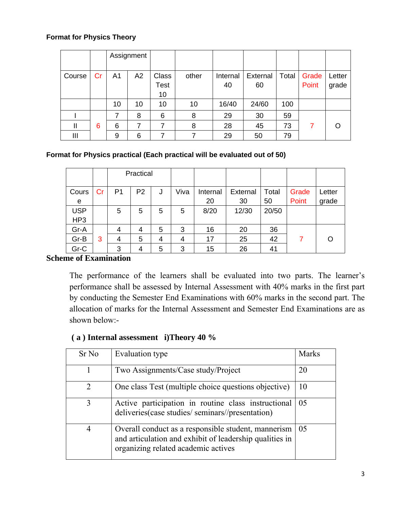#### **Format for Physics Theory**

|        |    |    | Assignment |              |       |          |          |       |       |        |
|--------|----|----|------------|--------------|-------|----------|----------|-------|-------|--------|
|        |    |    |            |              |       |          |          |       |       |        |
| Course | Cr | A1 | A2         | <b>Class</b> | other | Internal | External | Total | Grade | Letter |
|        |    |    |            | <b>Test</b>  |       | 40       | 60       |       | Point | grade  |
|        |    |    |            | 10           |       |          |          |       |       |        |
|        |    | 10 | 10         | 10           | 10    | 16/40    | 24/60    | 100   |       |        |
|        |    | 7  | 8          | 6            | 8     | 29       | 30       | 59    |       |        |
| Ш      | 6  | 6  | 7          | 7            | 8     | 28       | 45       | 73    | 7     | ∩      |
| Ш      |    | 9  | 6          | 7            | 7     | 29       | 50       | 79    |       |        |

### **Format for Physics practical (Each practical will be evaluated out of 50)**

|            |    |                | Practical      |   |      |          |          |       |       |        |
|------------|----|----------------|----------------|---|------|----------|----------|-------|-------|--------|
| Cours      | Cr | P1             | P <sub>2</sub> | J | Viva | Internal | External | Total | Grade | Letter |
| e          |    |                |                |   |      | 20       | 30       | 50    | Point | grade  |
| <b>USP</b> |    | 5              | 5              | 5 | 5    | 8/20     | 12/30    | 20/50 |       |        |
| HP3        |    |                |                |   |      |          |          |       |       |        |
| Gr-A       |    | $\overline{4}$ | 4              | 5 | 3    | 16       | 20       | 36    |       |        |
| Gr-B       | 3  | 4              | 5              | 4 | 4    | 17       | 25       | 42    |       |        |
| Gr-C       |    | 3              | 4              | 5 | 3    | 15       | 26       | 41    |       |        |

### **Scheme of Examination**

The performance of the learners shall be evaluated into two parts. The learner's performance shall be assessed by Internal Assessment with 40% marks in the first part by conducting the Semester End Examinations with 60% marks in the second part. The allocation of marks for the Internal Assessment and Semester End Examinations are as shown below:-

### **( a ) Internal assessment i)Theory 40 %**

| Sr No          | Evaluation type                                                                                                                                       | <b>Marks</b> |
|----------------|-------------------------------------------------------------------------------------------------------------------------------------------------------|--------------|
|                | Two Assignments/Case study/Project                                                                                                                    | 20           |
| $\overline{2}$ | One class Test (multiple choice questions objective)                                                                                                  | 10           |
| 3              | Active participation in routine class instructional<br>deliveries (case studies/ seminars//presentation)                                              | 05           |
| 4              | Overall conduct as a responsible student, mannerism<br>and articulation and exhibit of leadership qualities in<br>organizing related academic actives | 05           |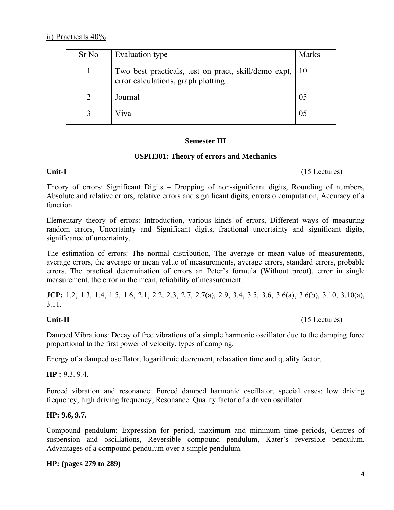| Sr No | Evaluation type                                                                                | <b>Marks</b> |
|-------|------------------------------------------------------------------------------------------------|--------------|
|       | Two best practicals, test on pract, skill/demo expt, 10<br>error calculations, graph plotting. |              |
|       | Journal                                                                                        |              |
|       | Viva                                                                                           |              |

#### **Semester III**

#### **USPH301: Theory of errors and Mechanics**

Unit-I (15 Lectures)

Theory of errors: Significant Digits – Dropping of non-significant digits, Rounding of numbers, Absolute and relative errors, relative errors and significant digits, errors o computation, Accuracy of a function.

Elementary theory of errors: Introduction, various kinds of errors, Different ways of measuring random errors, Uncertainty and Significant digits, fractional uncertainty and significant digits, significance of uncertainty.

The estimation of errors: The normal distribution, The average or mean value of measurements, average errors, the average or mean value of measurements, average errors, standard errors, probable errors, The practical determination of errors an Peter's formula (Without proof), error in single measurement, the error in the mean, reliability of measurement.

**JCP:** 1.2, 1.3, 1.4, 1.5, 1.6, 2.1, 2.2, 2.3, 2.7, 2.7(a), 2.9, 3.4, 3.5, 3.6, 3.6(a), 3.6(b), 3.10, 3.10(a), 3.11.

#### Unit-II (15 Lectures)

Damped Vibrations: Decay of free vibrations of a simple harmonic oscillator due to the damping force proportional to the first power of velocity, types of damping,

Energy of a damped oscillator, logarithmic decrement, relaxation time and quality factor.

**HP :** 9.3, 9.4.

Forced vibration and resonance: Forced damped harmonic oscillator, special cases: low driving frequency, high driving frequency, Resonance. Quality factor of a driven oscillator.

#### **HP: 9.6, 9.7.**

Compound pendulum: Expression for period, maximum and minimum time periods, Centres of suspension and oscillations, Reversible compound pendulum, Kater's reversible pendulum. Advantages of a compound pendulum over a simple pendulum.

#### **HP: (pages 279 to 289)**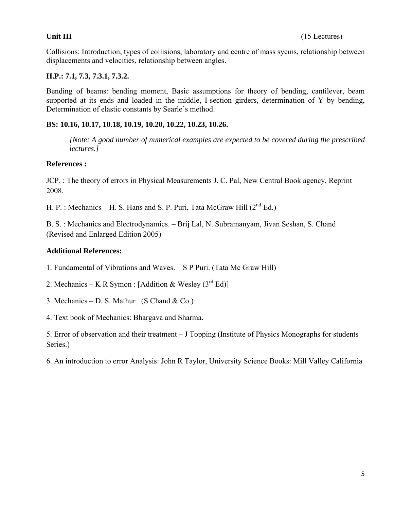Collisions: Introduction, types of collisions, laboratory and centre of mass syems, relationship between displacements and velocities, relationship between angles.

#### **H.P.: 7.1, 7.3, 7.3.1, 7.3.2.**

Bending of beams: bending moment, Basic assumptions for theory of bending, cantilever, beam supported at its ends and loaded in the middle, I-section girders, determination of Y by bending, Determination of elastic constants by Searle's method.

#### **BS: 10.16, 10.17, 10.18, 10.19, 10.20, 10.22, 10.23, 10.26.**

*[Note: A good number of numerical examples are expected to be covered during the prescribed lectures.]* 

#### **References :**

JCP. : The theory of errors in Physical Measurements J. C. Pal, New Central Book agency, Reprint 2008.

H. P. : Mechanics – H. S. Hans and S. P. Puri, Tata McGraw Hill  $(2^{nd} Ed.)$ 

B. S. : Mechanics and Electrodynamics. – Brij Lal, N. Subramanyam, Jivan Seshan, S. Chand (Revised and Enlarged Edition 2005)

#### **Additional References:**

1. Fundamental of Vibrations and Waves. S P Puri. (Tata Mc Graw Hill)

2. Mechanics – K R Symon : [Addition & Wesley  $(3<sup>rd</sup> Ed)$ ]

3. Mechanics – D. S. Mathur (S Chand  $&$  Co.)

4. Text book of Mechanics: Bhargava and Sharma.

5. Error of observation and their treatment – J Topping (Institute of Physics Monographs for students Series.)

6. An introduction to error Analysis: John R Taylor, University Science Books: Mill Valley California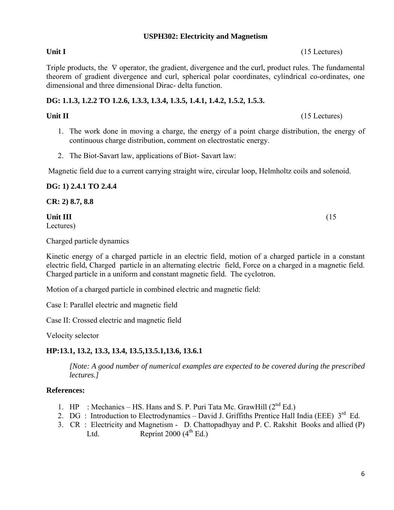### **USPH302: Electricity and Magnetism**

### Unit I (15 Lectures)

Triple products, the ∇ operator, the gradient, divergence and the curl, product rules. The fundamental theorem of gradient divergence and curl, spherical polar coordinates, cylindrical co-ordinates, one dimensional and three dimensional Dirac- delta function.

#### **DG: 1.1.3, 1.2.2 TO 1.2.6, 1.3.3, 1.3.4, 1.3.5, 1.4.1, 1.4.2, 1.5.2, 1.5.3.**

#### **Unit II** (15 Lectures)

- 1. The work done in moving a charge, the energy of a point charge distribution, the energy of continuous charge distribution, comment on electrostatic energy.
- 2. The Biot-Savart law, applications of Biot- Savart law:

Magnetic field due to a current carrying straight wire, circular loop, Helmholtz coils and solenoid.

**DG: 1) 2.4.1 TO 2.4.4** 

**CR: 2) 8.7, 8.8** 

#### **Unit III** (15)

Lectures)

Charged particle dynamics

Kinetic energy of a charged particle in an electric field, motion of a charged particle in a constant electric field, Charged particle in an alternating electric field, Force on a charged in a magnetic field. Charged particle in a uniform and constant magnetic field. The cyclotron.

Motion of a charged particle in combined electric and magnetic field:

Case I: Parallel electric and magnetic field

Case II: Crossed electric and magnetic field

Velocity selector

### **HP:13.1, 13.2, 13.3, 13.4, 13.5,13.5.1,13.6, 13.6.1**

*[Note: A good number of numerical examples are expected to be covered during the prescribed lectures.]* 

#### **References:**

- 1. HP : Mechanics HS. Hans and S. P. Puri Tata Mc. GrawHill  $(2^{nd} Ed.)$
- 2. DG : Introduction to Electrodynamics David J. Griffiths Prentice Hall India (EEE)  $3^{\text{rd}}$  Ed.
- 3. CR : Electricity and Magnetism D. Chattopadhyay and P. C. Rakshit Books and allied (P) Ltd. Reprint  $2000 (4<sup>th</sup> Ed.)$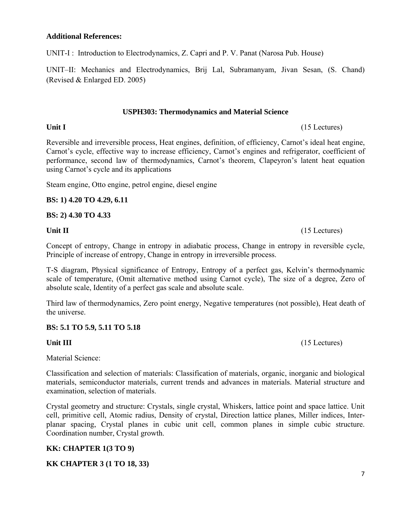#### **Additional References:**

UNIT-I : Introduction to Electrodynamics, Z. Capri and P. V. Panat (Narosa Pub. House)

UNIT–II: Mechanics and Electrodynamics, Brij Lal, Subramanyam, Jivan Sesan, (S. Chand) (Revised & Enlarged ED. 2005)

#### **USPH303: Thermodynamics and Material Science**

Reversible and irreversible process, Heat engines, definition, of efficiency, Carnot's ideal heat engine, Carnot's cycle, effective way to increase efficiency, Carnot's engines and refrigerator, coefficient of performance, second law of thermodynamics, Carnot's theorem, Clapeyron's latent heat equation using Carnot's cycle and its applications

Steam engine, Otto engine, petrol engine, diesel engine

#### **BS: 1) 4.20 TO 4.29, 6.11**

#### **BS: 2) 4.30 TO 4.33**

Concept of entropy, Change in entropy in adiabatic process, Change in entropy in reversible cycle, Principle of increase of entropy, Change in entropy in irreversible process.

T-S diagram, Physical significance of Entropy, Entropy of a perfect gas, Kelvin's thermodynamic scale of temperature, (Omit alternative method using Carnot cycle), The size of a degree, Zero of absolute scale, Identity of a perfect gas scale and absolute scale.

Third law of thermodynamics, Zero point energy, Negative temperatures (not possible), Heat death of the universe.

#### **BS: 5.1 TO 5.9, 5.11 TO 5.18**

#### Unit III **and Contract Contract Contract Contract Contract Contract Contract Contract Contract Contract Contract Contract Contract Contract Contract Contract Contract Contract Contract Contract Contract Contract Contract C**

Material Science:

Classification and selection of materials: Classification of materials, organic, inorganic and biological materials, semiconductor materials, current trends and advances in materials. Material structure and examination, selection of materials.

Crystal geometry and structure: Crystals, single crystal, Whiskers, lattice point and space lattice. Unit cell, primitive cell, Atomic radius, Density of crystal, Direction lattice planes, Miller indices, Interplanar spacing, Crystal planes in cubic unit cell, common planes in simple cubic structure. Coordination number, Crystal growth.

#### **KK: CHAPTER 1(3 TO 9)**

#### **KK CHAPTER 3 (1 TO 18, 33)**

7

Unit II (15 Lectures)

Unit I (15 Lectures)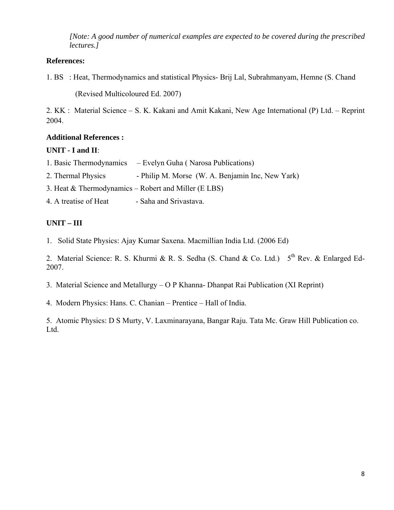*[Note: A good number of numerical examples are expected to be covered during the prescribed lectures.]* 

#### **References:**

1. BS : Heat, Thermodynamics and statistical Physics- Brij Lal, Subrahmanyam, Hemne (S. Chand

(Revised Multicoloured Ed. 2007)

2. KK : Material Science – S. K. Kakani and Amit Kakani, New Age International (P) Ltd. – Reprint 2004.

#### **Additional References :**

#### **UNIT - I and II**:

|                                                        | 1. Basic Thermodynamics – Evelyn Guha (Narosa Publications) |  |  |  |  |
|--------------------------------------------------------|-------------------------------------------------------------|--|--|--|--|
| 2. Thermal Physics                                     | - Philip M. Morse (W. A. Benjamin Inc, New Yark)            |  |  |  |  |
| 3. Heat $&$ Thermodynamics – Robert and Miller (E LBS) |                                                             |  |  |  |  |
| 4. A treatise of Heat                                  | - Saha and Srivastava.                                      |  |  |  |  |

### **UNIT – III**

1. Solid State Physics: Ajay Kumar Saxena. Macmillian India Ltd. (2006 Ed)

2. Material Science: R. S. Khurmi & R. S. Sedha (S. Chand & Co. Ltd.)  $5<sup>th</sup>$  Rev. & Enlarged Ed-2007.

3. Material Science and Metallurgy – O P Khanna- Dhanpat Rai Publication (XI Reprint)

4. Modern Physics: Hans. C. Chanian – Prentice – Hall of India.

5. Atomic Physics: D S Murty, V. Laxminarayana, Bangar Raju. Tata Mc. Graw Hill Publication co. Ltd.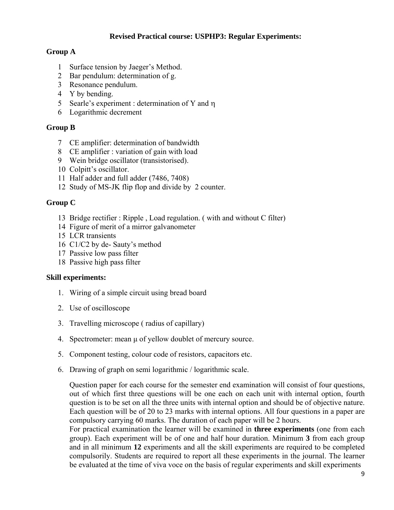#### **Revised Practical course: USPHP3: Regular Experiments:**

#### **Group A**

- 1 Surface tension by Jaeger's Method.
- 2 Bar pendulum: determination of g.
- 3 Resonance pendulum.
- 4 Y by bending.
- 5 Searle's experiment : determination of Y and η
- 6 Logarithmic decrement

#### **Group B**

- 7 CE amplifier: determination of bandwidth
- 8 CE amplifier : variation of gain with load
- 9 Wein bridge oscillator (transistorised).
- 10 Colpitt's oscillator.
- 11 Half adder and full adder (7486, 7408)
- 12 Study of MS-JK flip flop and divide by 2 counter.

#### **Group C**

- 13 Bridge rectifier : Ripple , Load regulation. ( with and without C filter)
- 14 Figure of merit of a mirror galvanometer
- 15 LCR transients
- 16 C1/C2 by de- Sauty's method
- 17 Passive low pass filter
- 18 Passive high pass filter

#### **Skill experiments:**

- 1. Wiring of a simple circuit using bread board
- 2. Use of oscilloscope
- 3. Travelling microscope ( radius of capillary)
- 4. Spectrometer: mean μ of yellow doublet of mercury source.
- 5. Component testing, colour code of resistors, capacitors etc.
- 6. Drawing of graph on semi logarithmic / logarithmic scale.

Question paper for each course for the semester end examination will consist of four questions, out of which first three questions will be one each on each unit with internal option, fourth question is to be set on all the three units with internal option and should be of objective nature. Each question will be of 20 to 23 marks with internal options. All four questions in a paper are compulsory carrying 60 marks. The duration of each paper will be 2 hours.

For practical examination the learner will be examined in **three experiments** (one from each group). Each experiment will be of one and half hour duration. Minimum **3** from each group and in all minimum **12** experiments and all the skill experiments are required to be completed compulsorily. Students are required to report all these experiments in the journal. The learner be evaluated at the time of viva voce on the basis of regular experiments and skill experiments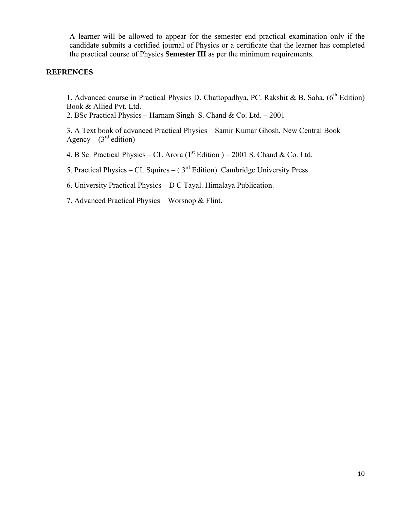A learner will be allowed to appear for the semester end practical examination only if the candidate submits a certified journal of Physics or a certificate that the learner has completed the practical course of Physics **Semester III** as per the minimum requirements.

#### **REFRENCES**

1. Advanced course in Practical Physics D. Chattopadhya, PC. Rakshit & B. Saha. (6<sup>th</sup> Edition) Book & Allied Pvt. Ltd.

2. BSc Practical Physics – Harnam Singh S. Chand & Co. Ltd. – 2001

3. A Text book of advanced Practical Physics – Samir Kumar Ghosh, New Central Book Agency –  $(3<sup>rd</sup>$  edition)

4. B Sc. Practical Physics – CL Arora ( $1<sup>st</sup>$  Edition ) – 2001 S. Chand & Co. Ltd.

5. Practical Physics – CL Squires – ( $3<sup>rd</sup>$  Edition) Cambridge University Press.

6. University Practical Physics – D C Tayal. Himalaya Publication.

7. Advanced Practical Physics – Worsnop & Flint.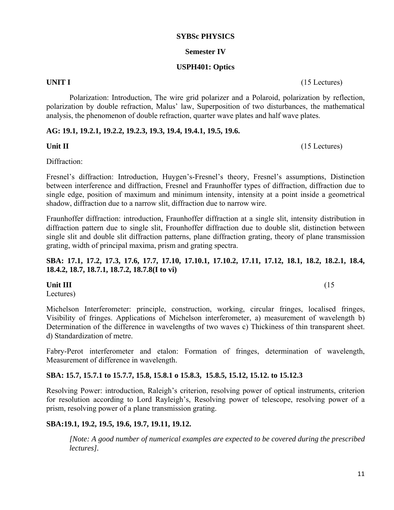11

#### **SYBSc PHYSICS**

#### **Semester IV**

#### **USPH401: Optics**

**UNIT I** (15 Lectures)

Polarization: Introduction, The wire grid polarizer and a Polaroid, polarization by reflection, polarization by double refraction, Malus' law, Superposition of two disturbances, the mathematical analysis, the phenomenon of double refraction, quarter wave plates and half wave plates.

#### **AG: 19.1, 19.2.1, 19.2.2, 19.2.3, 19.3, 19.4, 19.4.1, 19.5, 19.6.**

Diffraction:

Fresnel's diffraction: Introduction, Huygen's-Fresnel's theory, Fresnel's assumptions, Distinction between interference and diffraction, Fresnel and Fraunhoffer types of diffraction, diffraction due to single edge, position of maximum and minimum intensity, intensity at a point inside a geometrical shadow, diffraction due to a narrow slit, diffraction due to narrow wire.

Fraunhoffer diffraction: introduction, Fraunhoffer diffraction at a single slit, intensity distribution in diffraction pattern due to single slit, Frounhoffer diffraction due to double slit, distinction between single slit and double slit diffraction patterns, plane diffraction grating, theory of plane transmission grating, width of principal maxima, prism and grating spectra.

#### **SBA: 17.1, 17.2, 17.3, 17.6, 17.7, 17.10, 17.10.1, 17.10.2, 17.11, 17.12, 18.1, 18.2, 18.2.1, 18.4, 18.4.2, 18.7, 18.7.1, 18.7.2, 18.7.8(I to vi)**

### **Unit III** (15)

Lectures)

Michelson Interferometer: principle, construction, working, circular fringes, localised fringes, Visibility of fringes. Applications of Michelson interferometer, a) measurement of wavelength b) Determination of the difference in wavelengths of two waves c) Thickiness of thin transparent sheet. d) Standardization of metre.

Fabry-Perot interferometer and etalon: Formation of fringes, determination of wavelength, Measurement of difference in wavelength.

### **SBA: 15.7, 15.7.1 to 15.7.7, 15.8, 15.8.1 o 15.8.3, 15.8.5, 15.12, 15.12. to 15.12.3**

Resolving Power: introduction, Raleigh's criterion, resolving power of optical instruments, criterion for resolution according to Lord Rayleigh's, Resolving power of telescope, resolving power of a prism, resolving power of a plane transmission grating.

### **SBA:19.1, 19.2, 19.5, 19.6, 19.7, 19.11, 19.12.**

*[Note: A good number of numerical examples are expected to be covered during the prescribed lectures].* 

Unit II (15 Lectures)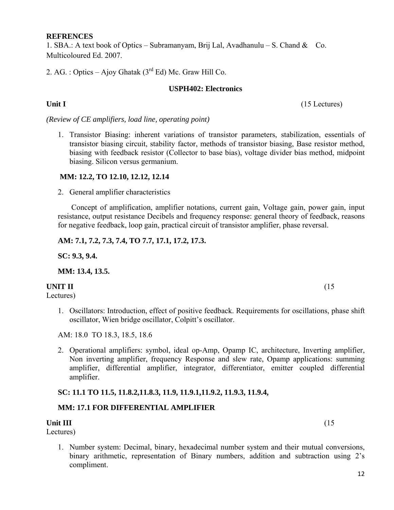#### **REFRENCES**

1. SBA.: A text book of Optics – Subramanyam, Brij Lal, Avadhanulu – S. Chand & Co. Multicoloured Ed. 2007.

2. AG. : Optics – Ajoy Ghatak  $(3<sup>rd</sup> Ed)$  Mc. Graw Hill Co.

#### **USPH402: Electronics**

Unit I (15 Lectures)

*(Review of CE amplifiers, load line, operating point)* 

1. Transistor Biasing: inherent variations of transistor parameters, stabilization, essentials of transistor biasing circuit, stability factor, methods of transistor biasing, Base resistor method, biasing with feedback resistor (Collector to base bias), voltage divider bias method, midpoint biasing. Silicon versus germanium.

#### **MM: 12.2, TO 12.10, 12.12, 12.14**

2. General amplifier characteristics

 Concept of amplification, amplifier notations, current gain, Voltage gain, power gain, input resistance, output resistance Decibels and frequency response: general theory of feedback, reasons for negative feedback, loop gain, practical circuit of transistor amplifier, phase reversal.

#### **AM: 7.1, 7.2, 7.3, 7.4, TO 7.7, 17.1, 17.2, 17.3.**

**SC: 9.3, 9.4.** 

**MM: 13.4, 13.5.** 

#### **UNIT II** (15

Lectures)

1. Oscillators: Introduction, effect of positive feedback. Requirements for oscillations, phase shift oscillator, Wien bridge oscillator, Colpitt's oscillator.

AM: 18.0 TO 18.3, 18.5, 18.6

2. Operational amplifiers: symbol, ideal op-Amp, Opamp IC, architecture, Inverting amplifier, Non inverting amplifier, frequency Response and slew rate, Opamp applications: summing amplifier, differential amplifier, integrator, differentiator, emitter coupled differential amplifier.

#### **SC: 11.1 TO 11.5, 11.8.2,11.8.3, 11.9, 11.9.1,11.9.2, 11.9.3, 11.9.4,**

### **MM: 17.1 FOR DIFFERENTIAL AMPLIFIER**

#### **Unit III** (15)

Lectures)

1. Number system: Decimal, binary, hexadecimal number system and their mutual conversions, binary arithmetic, representation of Binary numbers, addition and subtraction using 2's compliment.

12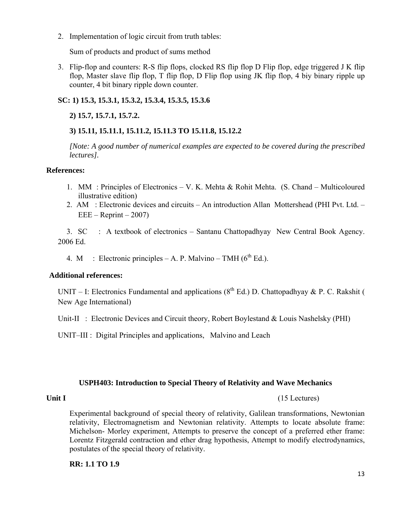2. Implementation of logic circuit from truth tables:

Sum of products and product of sums method

3. Flip-flop and counters: R-S flip flops, clocked RS flip flop D Flip flop, edge triggered J K flip flop, Master slave flip flop, T flip flop, D Flip flop using JK flip flop, 4 biy binary ripple up counter, 4 bit binary ripple down counter.

#### **SC: 1) 15.3, 15.3.1, 15.3.2, 15.3.4, 15.3.5, 15.3.6**

#### **2) 15.7, 15.7.1, 15.7.2.**

### **3) 15.11, 15.11.1, 15.11.2, 15.11.3 TO 15.11.8, 15.12.2**

*[Note: A good number of numerical examples are expected to be covered during the prescribed lectures].* 

#### **References:**

- 1. MM : Principles of Electronics V. K. Mehta & Rohit Mehta. (S. Chand Multicoloured illustrative edition)
- 2. AM : Electronic devices and circuits An introduction Allan Mottershead (PHI Pvt. Ltd.  $EEE - Reprint - 2007$

3. SC : A textbook of electronics – Santanu Chattopadhyay New Central Book Agency. 2006 Ed.

4. M : Electronic principles – A. P. Malvino – TMH ( $6^{th}$  Ed.).

#### **Additional references:**

UNIT – I: Electronics Fundamental and applications ( $8<sup>th</sup>$  Ed.) D. Chattopadhyay & P. C. Rakshit ( New Age International)

Unit-II : Electronic Devices and Circuit theory, Robert Boylestand & Louis Nashelsky (PHI)

UNIT–III : Digital Principles and applications, Malvino and Leach

#### **USPH403: Introduction to Special Theory of Relativity and Wave Mechanics**

Unit I (15 Lectures)

Experimental background of special theory of relativity, Galilean transformations, Newtonian relativity, Electromagnetism and Newtonian relativity. Attempts to locate absolute frame: Michelson- Morley experiment, Attempts to preserve the concept of a preferred ether frame: Lorentz Fitzgerald contraction and ether drag hypothesis, Attempt to modify electrodynamics, postulates of the special theory of relativity.

#### **RR: 1.1 TO 1.9**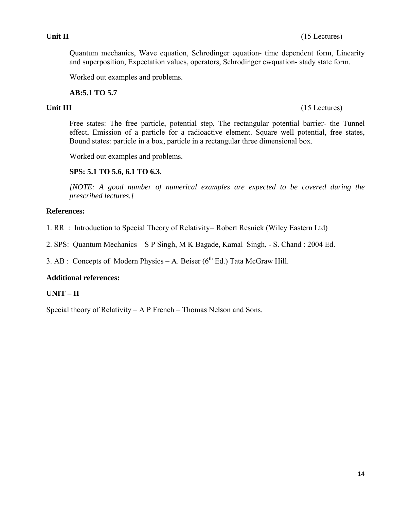#### Unit II (15 Lectures)

Quantum mechanics, Wave equation, Schrodinger equation- time dependent form, Linearity and superposition, Expectation values, operators, Schrodinger ewquation- stady state form.

Worked out examples and problems.

#### **AB:5.1 TO 5.7**

Free states: The free particle, potential step, The rectangular potential barrier- the Tunnel effect, Emission of a particle for a radioactive element. Square well potential, free states, Bound states: particle in a box, particle in a rectangular three dimensional box.

Worked out examples and problems.

### **SPS: 5.1 TO 5.6, 6.1 TO 6.3.**

*[NOTE: A good number of numerical examples are expected to be covered during the prescribed lectures.]* 

#### **References:**

- 1. RR : Introduction to Special Theory of Relativity= Robert Resnick (Wiley Eastern Ltd)
- 2. SPS: Quantum Mechanics S P Singh, M K Bagade, Kamal Singh, S. Chand : 2004 Ed.

3. AB : Concepts of Modern Physics – A. Beiser  $(6^{th} Ed.)$  Tata McGraw Hill.

#### **Additional references:**

### **UNIT – II**

Special theory of Relativity – A P French – Thomas Nelson and Sons.

#### **Unit III** (15 Lectures)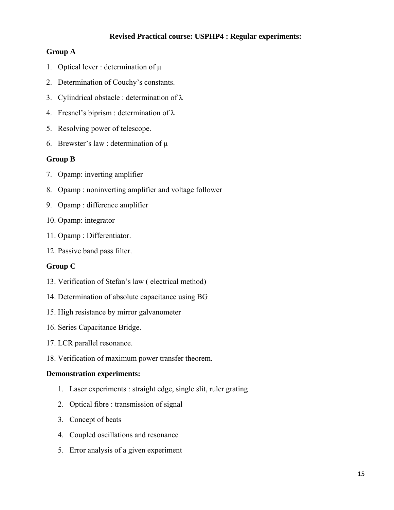#### **Revised Practical course: USPHP4 : Regular experiments:**

#### **Group A**

- 1. Optical lever : determination of μ
- 2. Determination of Couchy's constants.
- 3. Cylindrical obstacle : determination of λ
- 4. Fresnel's biprism : determination of λ
- 5. Resolving power of telescope.
- 6. Brewster's law : determination of  $\mu$

#### **Group B**

- 7. Opamp: inverting amplifier
- 8. Opamp : noninverting amplifier and voltage follower
- 9. Opamp : difference amplifier
- 10. Opamp: integrator
- 11. Opamp : Differentiator.
- 12. Passive band pass filter.

#### **Group C**

- 13. Verification of Stefan's law ( electrical method)
- 14. Determination of absolute capacitance using BG
- 15. High resistance by mirror galvanometer
- 16. Series Capacitance Bridge.
- 17. LCR parallel resonance.
- 18. Verification of maximum power transfer theorem.

#### **Demonstration experiments:**

- 1. Laser experiments : straight edge, single slit, ruler grating
- 2. Optical fibre : transmission of signal
- 3. Concept of beats
- 4. Coupled oscillations and resonance
- 5. Error analysis of a given experiment